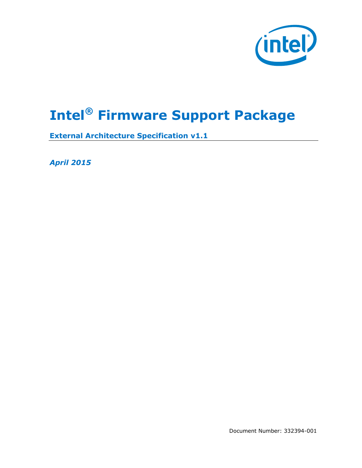

# **Intel® Firmware Support Package**

**External Architecture Specification v1.1**

*April 2015*

Document Number: 332394-001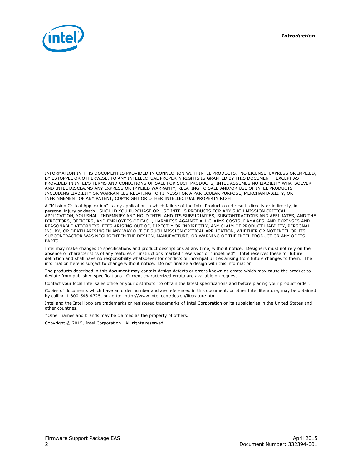

INFORMATION IN THIS DOCUMENT IS PROVIDED IN CONNECTION WITH INTEL PRODUCTS. NO LICENSE, EXPRESS OR IMPLIED, BY ESTOPPEL OR OTHERWISE, TO ANY INTELLECTUAL PROPERTY RIGHTS IS GRANTED BY THIS DOCUMENT. EXCEPT AS PROVIDED IN INTEL'S TERMS AND CONDITIONS OF SALE FOR SUCH PRODUCTS, INTEL ASSUMES NO LIABILITY WHATSOEVER AND INTEL DISCLAIMS ANY EXPRESS OR IMPLIED WARRANTY, RELATING TO SALE AND/OR USE OF INTEL PRODUCTS INCLUDING LIABILITY OR WARRANTIES RELATING TO FITNESS FOR A PARTICULAR PURPOSE, MERCHANTABILITY, OR INFRINGEMENT OF ANY PATENT, COPYRIGHT OR OTHER INTELLECTUAL PROPERTY RIGHT.

A "Mission Critical Application" is any application in which failure of the Intel Product could result, directly or indirectly, in personal injury or death. SHOULD YOU PURCHASE OR USE INTEL'S PRODUCTS FOR ANY SUCH MISSION CRITICAL APPLICATION, YOU SHALL INDEMNIFY AND HOLD INTEL AND ITS SUBSIDIARIES, SUBCONTRACTORS AND AFFILIATES, AND THE DIRECTORS, OFFICERS, AND EMPLOYEES OF EACH, HARMLESS AGAINST ALL CLAIMS COSTS, DAMAGES, AND EXPENSES AND REASONABLE ATTORNEYS' FEES ARISING OUT OF, DIRECTLY OR INDIRECTLY, ANY CLAIM OF PRODUCT LIABILITY, PERSONAL INJURY, OR DEATH ARISING IN ANY WAY OUT OF SUCH MISSION CRITICAL APPLICATION, WHETHER OR NOT INTEL OR ITS SUBCONTRACTOR WAS NEGLIGENT IN THE DESIGN, MANUFACTURE, OR WARNING OF THE INTEL PRODUCT OR ANY OF ITS PARTS.

Intel may make changes to specifications and product descriptions at any time, without notice. Designers must not rely on the absence or characteristics of any features or instructions marked "reserved" or "undefined". Intel reserves these for future definition and shall have no responsibility whatsoever for conflicts or incompatibilities arising from future changes to them. The information here is subject to change without notice. Do not finalize a design with this information.

The products described in this document may contain design defects or errors known as errata which may cause the product to deviate from published specifications. Current characterized errata are available on request.

Contact your local Intel sales office or your distributor to obtain the latest specifications and before placing your product order.

Copies of documents which have an order number and are referenced in this document, or other Intel literature, may be obtained by calling 1-800-548-4725, or go to: http://www.intel.com/design/literature.htm

Intel and the Intel logo are trademarks or registered trademarks of Intel Corporation or its subsidiaries in the United States and other countries.

\*Other names and brands may be claimed as the property of others.

Copyright © 2015, Intel Corporation. All rights reserved.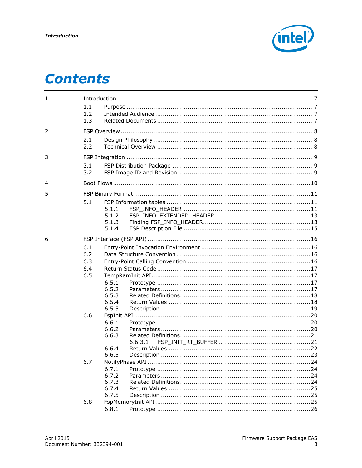

# **Contents**

| $\mathbf{1}$ |     |       | $\begin{minipage}{0.9\linewidth} \textbf{Introduction} \begin{minipage}{0.9\linewidth} \textbf{7} & \textbf{8} & \textbf{9} \\ \textbf{10} & \textbf{11} & \textbf{12} \\ \textbf{11} & \textbf{12} & \textbf{13} \\ \textbf{12} & \textbf{13} & \textbf{14} \\ \textbf{13} & \textbf{14} & \textbf{15} \\ \textbf{16} & \textbf{18} & \textbf{18} \\ \textbf{19} & \textbf{19} & \textbf{18} \\ \textbf{19} & \textbf{19} & \textbf{19}$ |  |  |
|--------------|-----|-------|-------------------------------------------------------------------------------------------------------------------------------------------------------------------------------------------------------------------------------------------------------------------------------------------------------------------------------------------------------------------------------------------------------------------------------------------|--|--|
|              | 1.1 |       |                                                                                                                                                                                                                                                                                                                                                                                                                                           |  |  |
|              | 1.2 |       |                                                                                                                                                                                                                                                                                                                                                                                                                                           |  |  |
|              | 1.3 |       |                                                                                                                                                                                                                                                                                                                                                                                                                                           |  |  |
| 2            |     |       |                                                                                                                                                                                                                                                                                                                                                                                                                                           |  |  |
|              | 2.1 |       |                                                                                                                                                                                                                                                                                                                                                                                                                                           |  |  |
|              | 2.2 |       |                                                                                                                                                                                                                                                                                                                                                                                                                                           |  |  |
| 3            |     |       |                                                                                                                                                                                                                                                                                                                                                                                                                                           |  |  |
|              | 3.1 |       |                                                                                                                                                                                                                                                                                                                                                                                                                                           |  |  |
|              | 3.2 |       |                                                                                                                                                                                                                                                                                                                                                                                                                                           |  |  |
| 4            |     |       |                                                                                                                                                                                                                                                                                                                                                                                                                                           |  |  |
| 5            |     |       |                                                                                                                                                                                                                                                                                                                                                                                                                                           |  |  |
|              | 5.1 |       |                                                                                                                                                                                                                                                                                                                                                                                                                                           |  |  |
|              |     | 5.1.1 |                                                                                                                                                                                                                                                                                                                                                                                                                                           |  |  |
|              |     | 5.1.2 |                                                                                                                                                                                                                                                                                                                                                                                                                                           |  |  |
|              |     | 5.1.3 |                                                                                                                                                                                                                                                                                                                                                                                                                                           |  |  |
|              |     | 5.1.4 |                                                                                                                                                                                                                                                                                                                                                                                                                                           |  |  |
| 6            |     |       |                                                                                                                                                                                                                                                                                                                                                                                                                                           |  |  |
|              | 6.1 |       |                                                                                                                                                                                                                                                                                                                                                                                                                                           |  |  |
|              | 6.2 |       |                                                                                                                                                                                                                                                                                                                                                                                                                                           |  |  |
|              | 6.3 |       |                                                                                                                                                                                                                                                                                                                                                                                                                                           |  |  |
|              | 6.4 |       |                                                                                                                                                                                                                                                                                                                                                                                                                                           |  |  |
|              | 6.5 |       |                                                                                                                                                                                                                                                                                                                                                                                                                                           |  |  |
|              |     | 6.5.1 |                                                                                                                                                                                                                                                                                                                                                                                                                                           |  |  |
|              |     | 6.5.2 |                                                                                                                                                                                                                                                                                                                                                                                                                                           |  |  |
|              |     | 6.5.3 |                                                                                                                                                                                                                                                                                                                                                                                                                                           |  |  |
|              |     | 6.5.4 |                                                                                                                                                                                                                                                                                                                                                                                                                                           |  |  |
|              |     | 6.5.5 |                                                                                                                                                                                                                                                                                                                                                                                                                                           |  |  |
|              | 6.6 |       |                                                                                                                                                                                                                                                                                                                                                                                                                                           |  |  |
|              |     | 6.6.1 |                                                                                                                                                                                                                                                                                                                                                                                                                                           |  |  |
|              |     | 6.6.2 |                                                                                                                                                                                                                                                                                                                                                                                                                                           |  |  |
|              |     | 6.6.3 |                                                                                                                                                                                                                                                                                                                                                                                                                                           |  |  |
|              |     |       | 6.6.3.1                                                                                                                                                                                                                                                                                                                                                                                                                                   |  |  |
|              |     | 6.6.4 |                                                                                                                                                                                                                                                                                                                                                                                                                                           |  |  |
|              |     | 6.6.5 |                                                                                                                                                                                                                                                                                                                                                                                                                                           |  |  |
|              | 6.7 |       |                                                                                                                                                                                                                                                                                                                                                                                                                                           |  |  |
|              |     | 6.7.1 |                                                                                                                                                                                                                                                                                                                                                                                                                                           |  |  |
|              |     | 6.7.2 |                                                                                                                                                                                                                                                                                                                                                                                                                                           |  |  |
|              |     | 6.7.3 |                                                                                                                                                                                                                                                                                                                                                                                                                                           |  |  |
|              |     | 6.7.4 |                                                                                                                                                                                                                                                                                                                                                                                                                                           |  |  |
|              |     | 6.7.5 |                                                                                                                                                                                                                                                                                                                                                                                                                                           |  |  |
|              | 6.8 |       |                                                                                                                                                                                                                                                                                                                                                                                                                                           |  |  |
|              |     | 6.8.1 |                                                                                                                                                                                                                                                                                                                                                                                                                                           |  |  |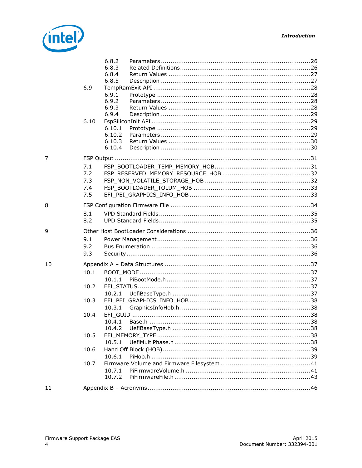

|    |                                                      | 6.8.2<br>6.8.3<br>6.8.4<br>6.8.5                                             |  |     |
|----|------------------------------------------------------|------------------------------------------------------------------------------|--|-----|
|    | 6.9                                                  | 6.9.1<br>6.9.2<br>6.9.3<br>6.9.4                                             |  |     |
|    | 6.10                                                 | 6.10.1<br>6.10.2<br>6.10.3<br>6.10.4                                         |  |     |
| 7  |                                                      |                                                                              |  |     |
|    | 7.1<br>7.2<br>7.3<br>7.4<br>7.5                      |                                                                              |  |     |
| 8  | 8.1<br>8.2                                           |                                                                              |  |     |
|    |                                                      |                                                                              |  |     |
| 9  | 9.1<br>9.2<br>9.3                                    |                                                                              |  |     |
| 10 | 10.1<br>10.2<br>10.3<br>10.4<br>10.5<br>10.6<br>10.7 | 10.1.1<br>10.2.1<br>10.3.1<br>10.4.2<br>10.5.1<br>10.6.1<br>10.7.1<br>10.7.2 |  | .38 |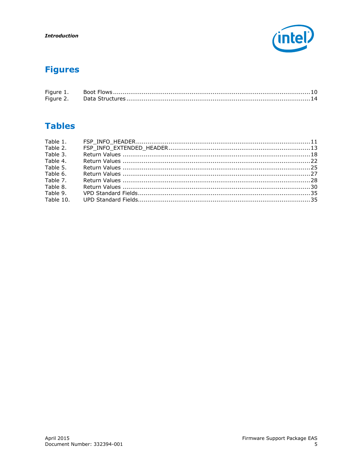

# **Figures**

| Figure 1. |  |
|-----------|--|
|           |  |

# **Tables**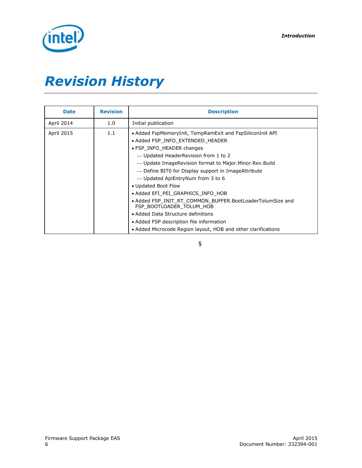

# *Revision History*

| <b>Date</b>       | <b>Revision</b> | <b>Description</b>                                                                                                                                                                                                                                                                                                                                                                                                                                                                                                                                                                                                               |
|-------------------|-----------------|----------------------------------------------------------------------------------------------------------------------------------------------------------------------------------------------------------------------------------------------------------------------------------------------------------------------------------------------------------------------------------------------------------------------------------------------------------------------------------------------------------------------------------------------------------------------------------------------------------------------------------|
| April 2014        | 1.0             | Initial publication                                                                                                                                                                                                                                                                                                                                                                                                                                                                                                                                                                                                              |
| <b>April 2015</b> | 1.1             | • Added FspMemoryInit, TempRamExit and FspSiliconInit API<br>• Added FSP INFO EXTENDED HEADER<br>• FSP INFO HEADER changes<br>- Updated HeaderRevision from 1 to 2<br>— Update ImageRevision format to Major Minor Rev Build<br>- Define BITO for Display support in ImageAttribute<br>- Updated ApiEntryNum from 3 to 6<br>• Updated Boot Flow<br>• Added EFI PEI GRAPHICS INFO HOB<br>• Added FSP INIT RT COMMON BUFFER.BootLoaderTolumSize and<br>FSP BOOTLOADER TOLUM HOB<br>• Added Data Structure definitions<br>• Added FSP description file information<br>• Added Microcode Region layout, HOB and other clarifications |

§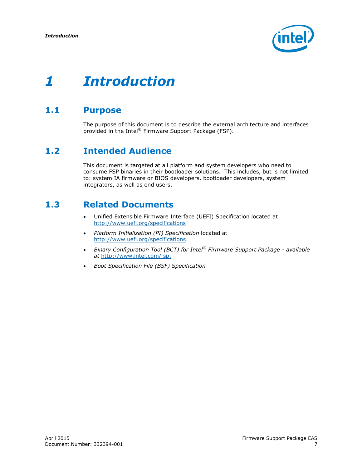

## <span id="page-6-0"></span>**1.1 Purpose**

<span id="page-6-2"></span><span id="page-6-1"></span>The purpose of this document is to describe the external architecture and interfaces provided in the Intel® Firmware Support Package (FSP).

# **1.2 Intended Audience**

<span id="page-6-3"></span>This document is targeted at all platform and system developers who need to consume FSP binaries in their bootloader solutions. This includes, but is not limited to: system IA firmware or BIOS developers, bootloader developers, system integrators, as well as end users.

# **1.3 Related Documents**

- Unified Extensible Firmware Interface (UEFI) Specification located at <http://www.uefi.org/specifications>
- *Platform Initialization (PI) Specification* located at <http://www.uefi.org/specifications>
- *Binary Configuration Tool (BCT) for Intel® Firmware Support Package - available at* [http://www.intel.com/fsp.](http://www.intel.com/fsp)
- *Boot Specification File (BSF) Specification*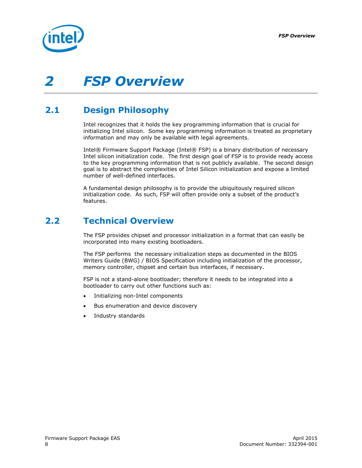

# <span id="page-7-0"></span>*2 FSP Overview*

# **2.1 Design Philosophy**

<span id="page-7-1"></span>Intel recognizes that it holds the key programming information that is crucial for initializing Intel silicon. Some key programming information is treated as proprietary information and may only be available with legal agreements.

Intel® Firmware Support Package (Intel® FSP) is a binary distribution of necessary Intel silicon initialization code. The first design goal of FSP is to provide ready access to the key programming information that is not publicly available. The second design goal is to abstract the complexities of Intel Silicon initialization and expose a limited number of well-defined interfaces.

<span id="page-7-2"></span>A fundamental design philosophy is to provide the ubiquitously required silicon initialization code. As such, FSP will often provide only a subset of the product's features.

## **2.2 Technical Overview**

The FSP provides chipset and processor initialization in a format that can easily be incorporated into many existing bootloaders.

The FSP performs the necessary initialization steps as documented in the BIOS Writers Guide (BWG) / BIOS Specification including initialization of the processor, memory controller, chipset and certain bus interfaces, if necessary.

FSP is not a stand-alone bootloader; therefore it needs to be integrated into a bootloader to carry out other functions such as:

- Initializing non-Intel components
- Bus enumeration and device discovery
- Industry standards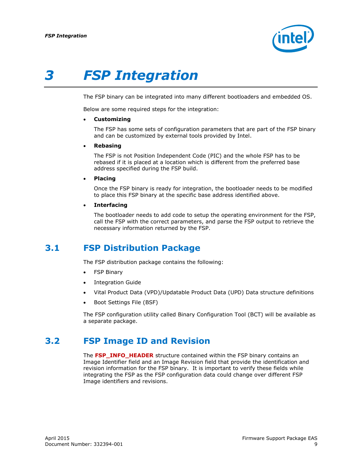

# *3 FSP Integration*

<span id="page-8-0"></span>The FSP binary can be integrated into many different bootloaders and embedded OS.

Below are some required steps for the integration:

#### **Customizing**

The FSP has some sets of configuration parameters that are part of the FSP binary and can be customized by external tools provided by Intel.

**Rebasing**

The FSP is not Position Independent Code (PIC) and the whole FSP has to be rebased if it is placed at a location which is different from the preferred base address specified during the FSP build.

**Placing**

Once the FSP binary is ready for integration, the bootloader needs to be modified to place this FSP binary at the specific base address identified above.

**Interfacing**

<span id="page-8-1"></span>The bootloader needs to add code to setup the operating environment for the FSP, call the FSP with the correct parameters, and parse the FSP output to retrieve the necessary information returned by the FSP.

## **3.1 FSP Distribution Package**

The FSP distribution package contains the following:

- FSP Binary
- Integration Guide
- Vital Product Data (VPD)/Updatable Product Data (UPD) Data structure definitions
- Boot Settings File (BSF)

<span id="page-8-2"></span>The FSP configuration utility called Binary Configuration Tool (BCT) will be available as a separate package.

## **3.2 FSP Image ID and Revision**

The FSP\_INFO\_HEADER structure contained within the FSP binary contains an Image Identifier field and an Image Revision field that provide the identification and revision information for the FSP binary. It is important to verify these fields while integrating the FSP as the FSP configuration data could change over different FSP Image identifiers and revisions.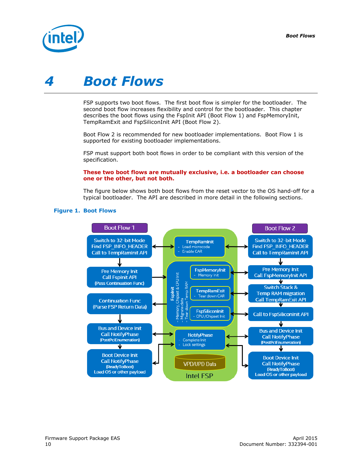

# <span id="page-9-0"></span>*4 Boot Flows*

FSP supports two boot flows. The first boot flow is simpler for the bootloader. The second boot flow increases flexibility and control for the bootloader. This chapter describes the boot flows using the FspInit API (Boot Flow 1) and FspMemoryInit, TempRamExit and FspSiliconInit API (Boot Flow 2).

Boot Flow 2 is recommended for new bootloader implementations. Boot Flow 1 is supported for existing bootloader implementations.

FSP must support both boot flows in order to be compliant with this version of the specification.

#### **These two boot flows are mutually exclusive, i.e. a bootloader can choose one or the other, but not both.**

The figure below shows both boot flows from the reset vector to the OS hand-off for a typical bootloader. The API are described in more detail in the following sections.



#### <span id="page-9-1"></span>**Figure 1. Boot Flows**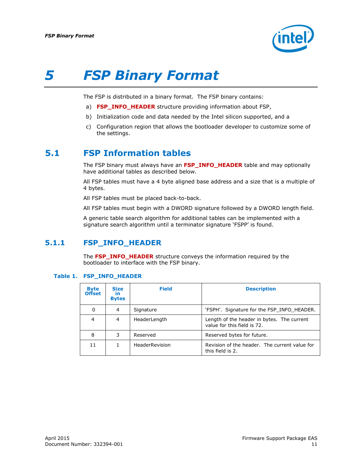

# *5 FSP Binary Format*

<span id="page-10-0"></span>The FSP is distributed in a binary format. The FSP binary contains:

- a) **FSP\_INFO\_HEADER** structure providing information about FSP,
- b) Initialization code and data needed by the Intel silicon supported, and a
- <span id="page-10-1"></span>c) Configuration region that allows the bootloader developer to customize some of the settings.

## **5.1 FSP Information tables**

The FSP binary must always have an **FSP\_INFO\_HEADER** table and may optionally have additional tables as described below.

All FSP tables must have a 4 byte aligned base address and a size that is a multiple of 4 bytes.

All FSP tables must be placed back-to-back.

All FSP tables must begin with a DWORD signature followed by a DWORD length field.

<span id="page-10-2"></span>A generic table search algorithm for additional tables can be implemented with a signature search algorithm until a terminator signature 'FSPP' is found.

### **5.1.1 FSP\_INFO\_HEADER**

The **FSP\_INFO\_HEADER** structure conveys the information required by the bootloader to interface with the FSP binary.

#### <span id="page-10-3"></span>**Table 1. FSP\_INFO\_HEADER**

| <b>Byte</b><br><b>Offset</b> | <b>Size</b><br><b>in</b><br><b>Bytes</b> | <b>Field</b>   | <b>Description</b>                                                        |
|------------------------------|------------------------------------------|----------------|---------------------------------------------------------------------------|
| 0                            | 4                                        | Signature      | 'FSPH'. Signature for the FSP INFO HEADER.                                |
| 4                            | 4                                        | HeaderLength   | Length of the header in bytes. The current<br>value for this field is 72. |
| 8                            | 3                                        | Reserved       | Reserved bytes for future.                                                |
| 11                           |                                          | HeaderRevision | Revision of the header. The current value for<br>this field is 2.         |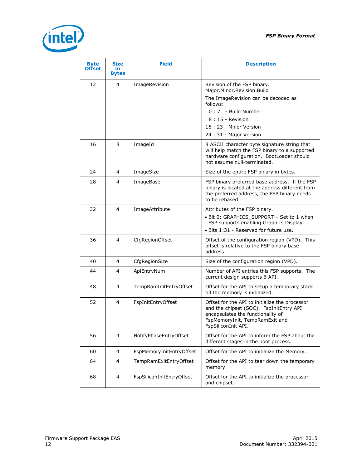

| <b>Byte</b><br><b>Offset</b> | <b>Size</b><br>in<br><b>Bytes</b> | <b>Field</b>              | <b>Description</b>                                                                                                                                                                      |
|------------------------------|-----------------------------------|---------------------------|-----------------------------------------------------------------------------------------------------------------------------------------------------------------------------------------|
| 12                           | 4                                 | ImageRevision             | Revision of the FSP binary.<br>Major.Minor.Revision.Build<br>The ImageRevision can be decoded as                                                                                        |
|                              |                                   |                           | follows:<br>$0:7$ - Build Number                                                                                                                                                        |
|                              |                                   |                           | $8:15$ - Revision<br>16: 23 - Minor Version<br>24 : 31 - Major Version                                                                                                                  |
| 16                           | 8                                 | ImageId                   | 8 ASCII character byte signature string that<br>will help match the FSP binary to a supported<br>hardware configuration. BootLoader should<br>not assume null-terminated.               |
| 24                           | 4                                 | ImageSize                 | Size of the entire FSP binary in bytes.                                                                                                                                                 |
| 28                           | 4                                 | ImageBase                 | FSP binary preferred base address. If the FSP<br>binary is located at the address different from<br>the preferred address, the FSP binary needs<br>to be rebased.                       |
| 32                           | 4                                 | ImageAttribute            | Attributes of the FSP binary.<br>• Bit 0: GRAPHICS SUPPORT - Set to 1 when<br>FSP supports enabling Graphics Display.<br>· Bits 1:31 - Reserved for future use.                         |
| 36                           | 4                                 | CfgRegionOffset           | Offset of the configuration region (VPD). This<br>offset is relative to the FSP binary base<br>address.                                                                                 |
| 40                           | 4                                 | CfgRegionSize             | Size of the configuration region (VPD).                                                                                                                                                 |
| 44                           | 4                                 | ApiEntryNum               | Number of API entries this FSP supports. The<br>current design supports 6 API.                                                                                                          |
| 48                           | 4                                 | TempRamInitEntryOffset    | Offset for the API to setup a temporary stack<br>till the memory is initialized.                                                                                                        |
| 52                           | 4                                 | FspInitEntryOffset        | Offset for the API to initialize the processor<br>and the chipset (SOC). FspInitEntry API<br>encapsulates the functionality of<br>FspMemoryInit, TempRamExit and<br>FspSiliconInit API. |
| 56                           | 4                                 | NotifyPhaseEntryOffset    | Offset for the API to inform the FSP about the<br>different stages in the boot process.                                                                                                 |
| 60                           | 4                                 | FspMemoryInitEntryOffset  | Offset for the API to initialize the Memory.                                                                                                                                            |
| 64                           | 4                                 | TempRamExitEntryOffset    | Offset for the API to tear down the temporary<br>memory.                                                                                                                                |
| 68                           | 4                                 | FspSiliconInitEntryOffset | Offset for the API to initialize the processor<br>and chipset.                                                                                                                          |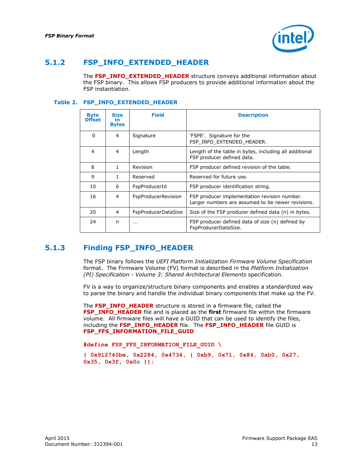

### **5.1.2 FSP\_INFO\_EXTENDED\_HEADER**

<span id="page-12-0"></span>The **FSP\_INFO\_EXTENDED\_HEADER** structure conveys additional information about the FSP binary. This allows FSP producers to provide additional information about the FSP instantiation.

#### <span id="page-12-2"></span>**Table 2. FSP\_INFO\_EXTENDED\_HEADER**

| <b>Byte</b><br><b>Offset</b> | <b>Size</b><br>in<br><b>Bytes</b> | <b>Field</b>               | <b>Description</b>                                                                                |
|------------------------------|-----------------------------------|----------------------------|---------------------------------------------------------------------------------------------------|
| 0                            | 4                                 | Signature                  | 'FSPE'. Signature for the<br>FSP INFO EXTENDED HEADER.                                            |
| 4                            | 4                                 | Length                     | Length of the table in bytes, including all additional<br>FSP producer defined data.              |
| 8                            | 1                                 | Revision                   | FSP producer defined revision of the table.                                                       |
| 9                            | 1                                 | Reserved                   | Reserved for future use.                                                                          |
| 10                           | 6                                 | FspProducerId              | FSP producer identification string.                                                               |
| 16                           | 4                                 | FspProducerRevision        | FSP producer implementation revision number.<br>Larger numbers are assumed to be newer revisions. |
| 20                           | 4                                 | <b>FspProducerDataSize</b> | Size of the FSP producer defined data (n) in bytes.                                               |
| 24                           | n                                 | $\cdots$                   | FSP producer defined data of size (n) defined by<br>FspProducerDataSize.                          |

## **5.1.3 Finding FSP\_INFO\_HEADER**

<span id="page-12-1"></span>The FSP binary follows the *UEFI Platform Initialization Firmware Volume Specification* format. The Firmware Volume (FV) format is described in the *Platform Initialization (PI) Specification - Volume 3: Shared Architectural Elements* specification.

FV is a way to organize/structure binary components and enables a standardized way to parse the binary and handle the individual binary components that make up the FV.

The **FSP\_INFO\_HEADER** structure is stored in a firmware file, called the **FSP\_INFO\_HEADER** file and is placed as the **first** firmware file within the firmware volume. All firmware files will have a GUID that can be used to identify the files, including the **FSP\_INFO\_HEADER** file. The **FSP\_INFO\_HEADER** file GUID is **FSP\_FFS\_INFORMATION\_FILE\_GUID**

**#define FSP\_FFS\_INFORMATION\_FILE\_GUID \**

**{ 0x912740be, 0x2284, 0x4734, { 0xb9, 0x71, 0x84, 0xb0, 0x27, 0x35, 0x3f, 0x0c }};**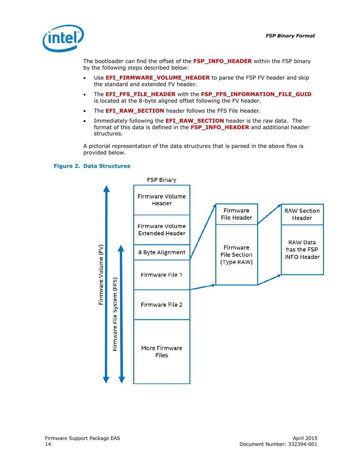

The bootloader can find the offset of the **FSP\_INFO\_HEADER** within the FSP binary by the following steps described below:

- Use **EFI\_FIRMWARE\_VOLUME\_HEADER** to parse the FSP FV header and skip the standard and extended FV header.
- The **EFI\_FFS\_FILE\_HEADER** with the **FSP\_FFS\_INFORMATION\_FILE\_GUID** is located at the 8-byte aligned offset following the FV header.
- . The **EFI\_RAW\_SECTION** header follows the FFS File Header.
- Immediately following the **EFI\_RAW\_SECTION** header is the raw data. The format of this data is defined in the **FSP\_INFO\_HEADER** and additional header structures.

A pictorial representation of the data structures that is parsed in the above flow is provided below.

#### <span id="page-13-0"></span>**Figure 2. Data Structures**

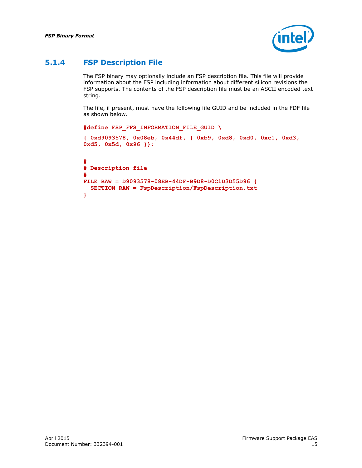

## **5.1.4 FSP Description File**

<span id="page-14-0"></span>The FSP binary may optionally include an FSP description file. This file will provide information about the FSP including information about different silicon revisions the FSP supports. The contents of the FSP description file must be an ASCII encoded text string.

The file, if present, must have the following file GUID and be included in the FDF file as shown below.

```
#define FSP_FFS_INFORMATION_FILE_GUID \
{ 0xd9093578, 0x08eb, 0x44df, { 0xb9, 0xd8, 0xd0, 0xc1, 0xd3, 
0xd5, 0x5d, 0x96 }};
#
# Description file
#
FILE RAW = D9093578-08EB-44DF-B9D8-D0C1D3D55D96 {
  SECTION RAW = FspDescription/FspDescription.txt
}
```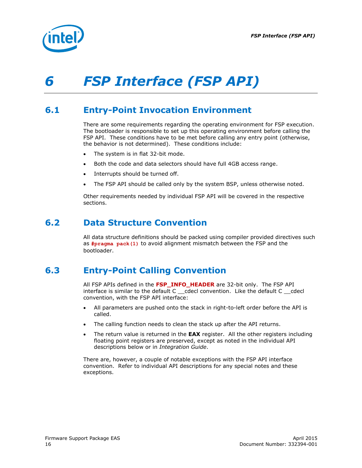

# <span id="page-15-0"></span>*6 FSP Interface (FSP API)*

# **6.1 Entry-Point Invocation Environment**

<span id="page-15-1"></span>There are some requirements regarding the operating environment for FSP execution. The bootloader is responsible to set up this operating environment before calling the FSP API. These conditions have to be met before calling any entry point (otherwise, the behavior is not determined). These conditions include:

- The system is in flat 32-bit mode.
- Both the code and data selectors should have full 4GB access range.
- Interrupts should be turned off.
- The FSP API should be called only by the system BSP, unless otherwise noted.

<span id="page-15-2"></span>Other requirements needed by individual FSP API will be covered in the respective sections.

## **6.2 Data Structure Convention**

<span id="page-15-3"></span>All data structure definitions should be packed using compiler provided directives such as **#pragma pack(1)** to avoid alignment mismatch between the FSP and the bootloader.

# **6.3 Entry-Point Calling Convention**

All FSP APIs defined in the **FSP\_INFO\_HEADER** are 32-bit only. The FSP API interface is similar to the default C \_\_cdecl convention. Like the default C \_\_cdecl convention, with the FSP API interface:

- All parameters are pushed onto the stack in right-to-left order before the API is called.
- The calling function needs to clean the stack up after the API returns.
- The return value is returned in the **EAX** register. All the other registers including floating point registers are preserved, except as noted in the individual API descriptions below or in *Integration Guide*.

There are, however, a couple of notable exceptions with the FSP API interface convention. Refer to individual API descriptions for any special notes and these exceptions.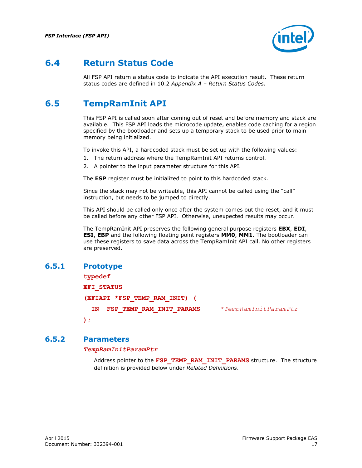

# **6.4 Return Status Code**

<span id="page-16-1"></span><span id="page-16-0"></span>All FSP API return a status code to indicate the API execution result. These return status codes are defined in [10.2](#page-36-3) *Appendix A – Return Status Codes.*

# **6.5 TempRamInit API**

This FSP API is called soon after coming out of reset and before memory and stack are available. This FSP API loads the microcode update, enables code caching for a region specified by the bootloader and sets up a temporary stack to be used prior to main memory being initialized.

To invoke this API, a hardcoded stack must be set up with the following values:

- 1. The return address where the TempRamInit API returns control.
- 2. A pointer to the input parameter structure for this API.

The **ESP** register must be initialized to point to this hardcoded stack.

Since the stack may not be writeable, this API cannot be called using the "call" instruction, but needs to be jumped to directly.

This API should be called only once after the system comes out the reset, and it must be called before any other FSP API. Otherwise, unexpected results may occur.

The TempRamInit API preserves the following general purpose registers **EBX**, **EDI**, **ESI**, **EBP** and the following floating point registers **MM0**, **MM1**. The bootloader can use these registers to save data across the TempRamInit API call. No other registers are preserved.

## **6.5.1 Prototype**

#### <span id="page-16-2"></span>**typedef**

**EFI\_STATUS (EFIAPI \*FSP\_TEMP\_RAM\_INIT) ( IN FSP\_TEMP\_RAM\_INIT\_PARAMS** *\*TempRamInitParamPtr* **);**

#### **6.5.2 Parameters**

#### <span id="page-16-3"></span>*TempRamInitParamPtr*

Address pointer to the FSP TEMP RAM INIT PARAMS structure. The structure definition is provided below under *Related Definitions*.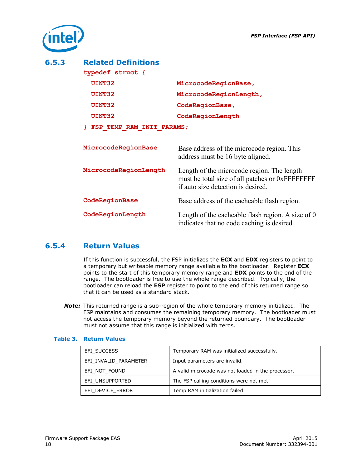

### **6.5.3 Related Definitions**

<span id="page-17-0"></span>

| typedef struct {          |                        |
|---------------------------|------------------------|
| UINT32                    | MicrocodeRegionBase,   |
| UINT32                    | MicrocodeRegionLength, |
| UINT32                    | CodeRegionBase,        |
| UINT32                    | CodeRegionLength       |
| FSP TEMP RAM INIT PARAMS; |                        |

| MicrocodeRegionBase   | Base address of the microcode region. This<br>address must be 16 byte aligned.                                                      |
|-----------------------|-------------------------------------------------------------------------------------------------------------------------------------|
| MicrocodeRegionLength | Length of the microcode region. The length<br>must be total size of all patches or 0xFFFFFFFF<br>if auto size detection is desired. |
| CodeRegionBase        | Base address of the cacheable flash region.                                                                                         |
| CodeRegionLength      | Length of the cacheable flash region. A size of $0$<br>indicates that no code caching is desired.                                   |

## **6.5.4 Return Values**

<span id="page-17-1"></span>If this function is successful, the FSP initializes the **ECX** and **EDX** registers to point to a temporary but writeable memory range available to the bootloader. Register **ECX** points to the start of this temporary memory range and **EDX** points to the end of the range. The bootloader is free to use the whole range described. Typically, the bootloader can reload the **ESP** register to point to the end of this returned range so that it can be used as a standard stack.

*Note:* This returned range is a sub-region of the whole temporary memory initialized. The FSP maintains and consumes the remaining temporary memory. The bootloader must not access the temporary memory beyond the returned boundary. The bootloader must not assume that this range is initialized with zeros.

| EFI SUCCESS           | Temporary RAM was initialized successfully.        |
|-----------------------|----------------------------------------------------|
| EFI INVALID PARAMETER | Input parameters are invalid.                      |
| EFI NOT FOUND         | A valid microcode was not loaded in the processor. |
| EFI UNSUPPORTED       | The FSP calling conditions were not met.           |
| EFI DEVICE ERROR      | Temp RAM initialization failed.                    |

#### <span id="page-17-2"></span>**Table 3. Return Values**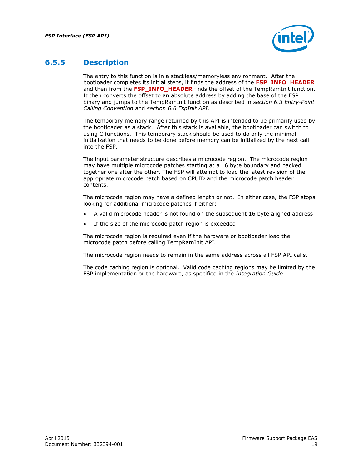

## **6.5.5 Description**

<span id="page-18-0"></span>The entry to this function is in a stackless/memoryless environment. After the bootloader completes its initial steps, it finds the address of the **FSP\_INFO\_HEADER** and then from the FSP INFO HEADER finds the offset of the TempRamInit function. It then converts the offset to an absolute address by adding the base of the FSP binary and jumps to the TempRamInit function as described in *section [6.3](#page-15-3) Entry-Point Calling Convention* and *section [6.6](#page-19-0) FspInit API*.

The temporary memory range returned by this API is intended to be primarily used by the bootloader as a stack. After this stack is available, the bootloader can switch to using C functions. This temporary stack should be used to do only the minimal initialization that needs to be done before memory can be initialized by the next call into the FSP.

The input parameter structure describes a microcode region. The microcode region may have multiple microcode patches starting at a 16 byte boundary and packed together one after the other. The FSP will attempt to load the latest revision of the appropriate microcode patch based on CPUID and the microcode patch header contents.

The microcode region may have a defined length or not. In either case, the FSP stops looking for additional microcode patches if either:

- A valid microcode header is not found on the subsequent 16 byte aligned address
- If the size of the microcode patch region is exceeded

The microcode region is required even if the hardware or bootloader load the microcode patch before calling TempRamInit API.

The microcode region needs to remain in the same address across all FSP API calls.

The code caching region is optional. Valid code caching regions may be limited by the FSP implementation or the hardware, as specified in the *Integration Guide*.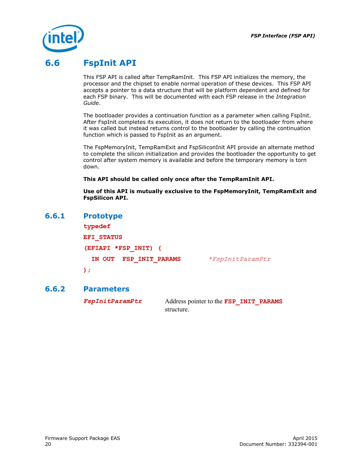

# **6.6 FspInit API**

<span id="page-19-0"></span>This FSP API is called after TempRamInit. This FSP API initializes the memory, the processor and the chipset to enable normal operation of these devices. This FSP API accepts a pointer to a data structure that will be platform dependent and defined for each FSP binary. This will be documented with each FSP release in the *Integration Guide*.

The bootloader provides a continuation function as a parameter when calling FspInit. After FspInit completes its execution, it does not return to the bootloader from where it was called but instead returns control to the bootloader by calling the continuation function which is passed to FspInit as an argument.

The FspMemoryInit, TempRamExit and FspSiliconInit API provide an alternate method to complete the silicon initialization and provides the bootloader the opportunity to get control after system memory is available and before the temporary memory is torn down.

**This API should be called only once after the TempRamInit API.**

<span id="page-19-1"></span>**Use of this API is mutually exclusive to the FspMemoryInit, TempRamExit and FspSilicon API.**

#### **6.6.1 Prototype**

**typedef EFI\_STATUS (EFIAPI \*FSP\_INIT) ( IN OUT FSP\_INIT\_PARAMS** *\*FspInitParamPtr* **);**

### **6.6.2 Parameters**

<span id="page-19-2"></span>

*FspInitParamPtr* Address pointer to the **FSP\_INIT\_PARAMS** structure.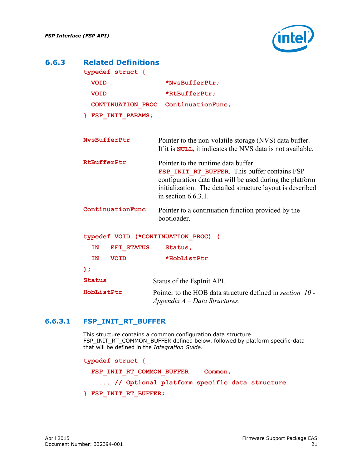

### **6.6.3 Related Definitions**

<span id="page-20-0"></span>

| typedef struct {                    |                                                                                                                                                                                                                                        |  |  |  |
|-------------------------------------|----------------------------------------------------------------------------------------------------------------------------------------------------------------------------------------------------------------------------------------|--|--|--|
| <b>VOID</b>                         | *NvsBufferPtr;                                                                                                                                                                                                                         |  |  |  |
| <b>VOID</b>                         | *RtBufferPtr;                                                                                                                                                                                                                          |  |  |  |
|                                     | CONTINUATION PROC ContinuationFunc;                                                                                                                                                                                                    |  |  |  |
| FSP INIT PARAMS;                    |                                                                                                                                                                                                                                        |  |  |  |
|                                     |                                                                                                                                                                                                                                        |  |  |  |
| NvsBufferPtr                        | Pointer to the non-volatile storage (NVS) data buffer.<br>If it is <b>NULL</b> , it indicates the NVS data is not available.                                                                                                           |  |  |  |
| RtBufferPtr                         | Pointer to the runtime data buffer<br>FSP INIT RT BUFFER. This buffer contains FSP<br>configuration data that will be used during the platform<br>initialization. The detailed structure layout is described<br>in section $6.6.3.1$ . |  |  |  |
| ContinuationFunc                    | Pointer to a continuation function provided by the<br>bootloader.                                                                                                                                                                      |  |  |  |
| typedef VOID (*CONTINUATION PROC) ( |                                                                                                                                                                                                                                        |  |  |  |
| IN<br><b>EFI STATUS</b>             | Status,                                                                                                                                                                                                                                |  |  |  |
| <b>IN</b><br><b>VOID</b>            | *HobListPtr                                                                                                                                                                                                                            |  |  |  |

| Status | Status of the FspInit API. |
|--------|----------------------------|
|--------|----------------------------|

<span id="page-20-1"></span>**HobListPtr** Pointer to the HOB data structure defined in *section [10](#page-36-0) - Appendix A – Data Structures*.

#### **6.6.3.1 FSP\_INIT\_RT\_BUFFER**

This structure contains a common configuration data structure FSP\_INIT\_RT\_COMMON\_BUFFER defined below, followed by platform specific-data that will be defined in the *Integration Guide*.

```
typedef struct {
 FSP_INIT_RT_COMMON_BUFFER Common;
   ..... // Optional platform specific data structure
} FSP_INIT_RT_BUFFER;
```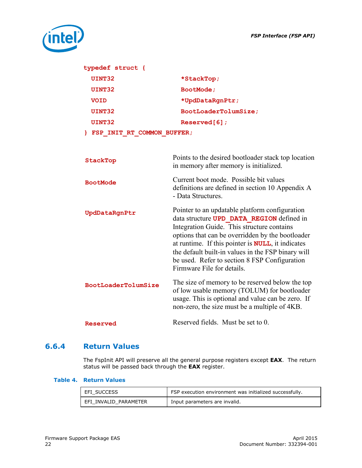

| typedef struct {             |                                                                                                                                                                                                                                                                                                                                                                                                 |
|------------------------------|-------------------------------------------------------------------------------------------------------------------------------------------------------------------------------------------------------------------------------------------------------------------------------------------------------------------------------------------------------------------------------------------------|
| UINT32                       | *StackTop;                                                                                                                                                                                                                                                                                                                                                                                      |
| UINT32                       | BootMode;                                                                                                                                                                                                                                                                                                                                                                                       |
| <b>VOID</b>                  | *UpdDataRgnPtr;                                                                                                                                                                                                                                                                                                                                                                                 |
| UINT32                       | BootLoaderTolumSize;                                                                                                                                                                                                                                                                                                                                                                            |
| UINT32                       | Reserved[6];                                                                                                                                                                                                                                                                                                                                                                                    |
| } FSP INIT RT COMMON BUFFER; |                                                                                                                                                                                                                                                                                                                                                                                                 |
|                              |                                                                                                                                                                                                                                                                                                                                                                                                 |
| StackTop                     | Points to the desired bootloader stack top location<br>in memory after memory is initialized.                                                                                                                                                                                                                                                                                                   |
| <b>BootMode</b>              | Current boot mode. Possible bit values<br>definitions are defined in section 10 Appendix A<br>- Data Structures.                                                                                                                                                                                                                                                                                |
| UpdDataRgnPtr                | Pointer to an updatable platform configuration<br>data structure UPD DATA REGION defined in<br>Integration Guide. This structure contains<br>options that can be overridden by the bootloader<br>at runtime. If this pointer is <b>NULL</b> , it indicates<br>the default built-in values in the FSP binary will<br>be used. Refer to section 8 FSP Configuration<br>Firmware File for details. |
| BootLoaderTolumSize          | The size of memory to be reserved below the top<br>of low usable memory (TOLUM) for bootloader<br>usage. This is optional and value can be zero. If<br>non-zero, the size must be a multiple of 4KB.                                                                                                                                                                                            |
| <b>Reserved</b>              | Reserved fields. Must be set to 0.                                                                                                                                                                                                                                                                                                                                                              |

## **6.6.4 Return Values**

<span id="page-21-0"></span>The FspInit API will preserve all the general purpose registers except **EAX**. The return status will be passed back through the **EAX** register.

#### <span id="page-21-1"></span>**Table 4. Return Values**

| EFI SUCCESS           | FSP execution environment was initialized successfully. |
|-----------------------|---------------------------------------------------------|
| EFI INVALID PARAMETER | Input parameters are invalid.                           |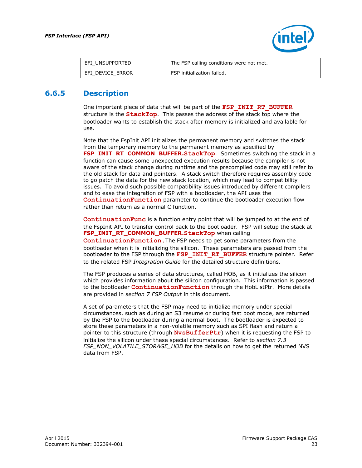

<span id="page-22-0"></span>

| EFI UNSUPPORTED  | The FSP calling conditions were not met. |
|------------------|------------------------------------------|
| EFI DEVICE ERROR | FSP initialization failed.               |

### **6.6.5 Description**

One important piece of data that will be part of the **FSP\_INIT\_RT\_BUFFER** structure is the **StackTop**. This passes the address of the stack top where the bootloader wants to establish the stack after memory is initialized and available for use.

Note that the FspInit API initializes the permanent memory and switches the stack from the temporary memory to the permanent memory as specified by **FSP\_INIT\_RT\_COMMON\_BUFFER.StackTop**. Sometimes switching the stack in a function can cause some unexpected execution results because the compiler is not aware of the stack change during runtime and the precompiled code may still refer to the old stack for data and pointers. A stack switch therefore requires assembly code to go patch the data for the new stack location, which may lead to compatibility issues. To avoid such possible compatibility issues introduced by different compilers and to ease the integration of FSP with a bootloader, the API uses the **ContinuationFunction** parameter to continue the bootloader execution flow rather than return as a normal C function.

**ContinuationFunc** is a function entry point that will be jumped to at the end of the FspInit API to transfer control back to the bootloader. FSP will setup the stack at **FSP\_INIT\_RT\_COMMON\_BUFFER.StackTop** when calling **ContinuationFunction.**The FSP needs to get some parameters from the bootloader when it is initializing the silicon. These parameters are passed from the bootloader to the FSP through the **FSP\_INIT\_RT\_BUFFER** structure pointer. Refer to the related FSP *Integration Guide* for the detailed structure definitions.

The FSP produces a series of data structures, called HOB, as it initializes the silicon which provides information about the silicon configuration. This information is passed to the bootloader **ContinuationFunction** through the HobListPtr. More details are provided in *section [7](#page-30-0) [FSP Output](#page-30-0)* in this document.

A set of parameters that the FSP may need to initialize memory under special circumstances, such as during an S3 resume or during fast boot mode, are returned by the FSP to the bootloader during a normal boot. The bootloader is expected to store these parameters in a non-volatile memory such as SPI flash and return a pointer to this structure (through **NvsBufferPtr**) when it is requesting the FSP to initialize the silicon under these special circumstances. Refer to *section [7.3](#page-31-1)* FSP\_NON\_VOLATILE\_STORAGE\_HOB for the details on how to get the returned NVS data from FSP.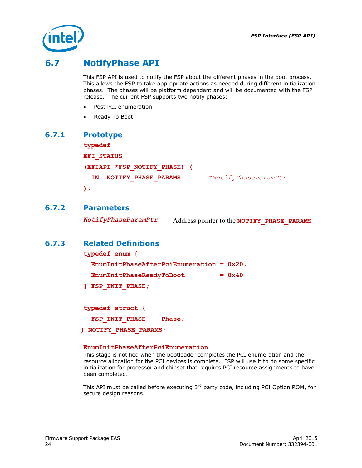

# **6.7 NotifyPhase API**

<span id="page-23-0"></span>This FSP API is used to notify the FSP about the different phases in the boot process. This allows the FSP to take appropriate actions as needed during different initialization phases. The phases will be platform dependent and will be documented with the FSP release. The current FSP supports two notify phases:

- Post PCI enumeration
- <span id="page-23-1"></span>Ready To Boot

#### **6.7.1 Prototype**

**typedef EFI\_STATUS (EFIAPI \*FSP\_NOTIFY\_PHASE) ( IN NOTIFY\_PHASE\_PARAMS** *\*NotifyPhaseParamPtr*

<span id="page-23-2"></span>**);**

#### **6.7.2 Parameters**

<span id="page-23-3"></span>*NotifyPhaseParamPtr* Address pointer to the **NOTIFY\_PHASE\_PARAMS**

#### **6.7.3 Related Definitions**

**typedef enum { EnumInitPhaseAfterPciEnumeration = 0x20,** EnumInitPhaseReadyToBoot =  $0x40$ **} FSP\_INIT\_PHASE;**

**typedef struct {** FSP INIT PHASE Phase;

 **} NOTIFY\_PHASE\_PARAMS;**

#### **EnumInitPhaseAfterPciEnumeration**

This stage is notified when the bootloader completes the PCI enumeration and the resource allocation for the PCI devices is complete. FSP will use it to do some specific initialization for processor and chipset that requires PCI resource assignments to have been completed.

This API must be called before executing  $3<sup>rd</sup>$  party code, including PCI Option ROM, for secure design reasons.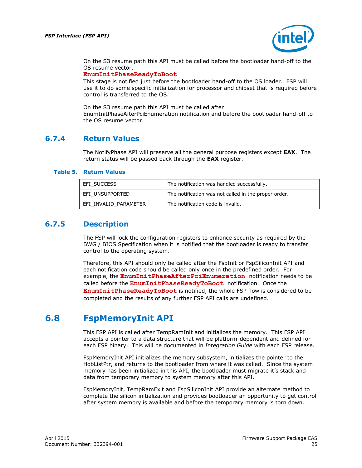

On the S3 resume path this API must be called before the bootloader hand-off to the OS resume vector.

#### **EnumInitPhaseReadyToBoot**

This stage is notified just before the bootloader hand-off to the OS loader. FSP will use it to do some specific initialization for processor and chipset that is required before control is transferred to the OS.

<span id="page-24-0"></span>On the S3 resume path this API must be called after EnumInitPhaseAfterPciEnumeration notification and before the bootloader hand-off to the OS resume vector.

#### **6.7.4 Return Values**

The NotifyPhase API will preserve all the general purpose registers except **EAX**. The return status will be passed back through the **EAX** register.

#### <span id="page-24-3"></span>**Table 5. Return Values**

| EFI SUCCESS           | The notification was handled successfully.           |
|-----------------------|------------------------------------------------------|
| EFI UNSUPPORTED       | The notification was not called in the proper order. |
| EFI INVALID PARAMETER | The notification code is invalid.                    |

#### **6.7.5 Description**

<span id="page-24-1"></span>The FSP will lock the configuration registers to enhance security as required by the BWG / BIOS Specification when it is notified that the bootloader is ready to transfer control to the operating system.

Therefore, this API should only be called after the FspInit or FspSiliconInit API and each notification code should be called only once in the predefined order. For example, the **EnumInitPhaseAfterPciEnumeration** notification needs to be called before the **EnumInitPhaseReadyToBoot** notification. Once the **EnumInitPhaseReadyToBoot** is notified, the whole FSP flow is considered to be completed and the results of any further FSP API calls are undefined.

## **6.8 FspMemoryInit API**

<span id="page-24-2"></span>This FSP API is called after TempRamInit and initializes the memory. This FSP API accepts a pointer to a data structure that will be platform-dependent and defined for each FSP binary. This will be documented in *Integration Guide* with each FSP release.

FspMemoryInit API initializes the memory subsystem, initializes the pointer to the HobListPtr, and returns to the bootloader from where it was called. Since the system memory has been initialized in this API, the bootloader must migrate it's stack and data from temporary memory to system memory after this API.

FspMemoryInit, TempRamExit and FspSiliconInit API provide an alternate method to complete the silicon initialization and provides bootloader an opportunity to get control after system memory is available and before the temporary memory is torn down.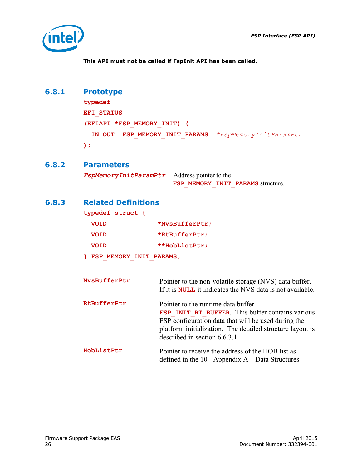

<span id="page-25-0"></span>**This API must not be called if FspInit API has been called.**

## **6.8.1 Prototype**

```
typedef 
EFI_STATUS
(EFIAPI *FSP_MEMORY_INIT) (
   IN OUT FSP_MEMORY_INIT_PARAMS *FspMemoryInitParamPtr
);
```
#### **6.8.2 Parameters**

<span id="page-25-2"></span><span id="page-25-1"></span>*FspMemoryInitParamPtr* Address pointer to the FSP MEMORY INIT PARAMS structure.

### **6.8.3 Related Definitions**

**typedef struct {**

| <b>VOID</b> | *NvsBufferPtr; |
|-------------|----------------|
| <b>VOID</b> | *RtBufferPtr;  |
| <b>VOID</b> | **HobListPtr;  |
|             |                |

**} FSP\_MEMORY\_INIT\_PARAMS;**

| NvsBufferPtr | Pointer to the non-volatile storage (NVS) data buffer.<br>If it is <b>NULL</b> it indicates the NVS data is not available.                                                                                                                         |
|--------------|----------------------------------------------------------------------------------------------------------------------------------------------------------------------------------------------------------------------------------------------------|
| RtBufferPtr  | Pointer to the runtime data buffer<br><b>FSP INIT RT BUFFER.</b> This buffer contains various<br>FSP configuration data that will be used during the<br>platform initialization. The detailed structure layout is<br>described in section 6.6.3.1. |
| HobListPtr   | Pointer to receive the address of the HOB list as<br>defined in the $10$ - Appendix $A$ – Data Structures                                                                                                                                          |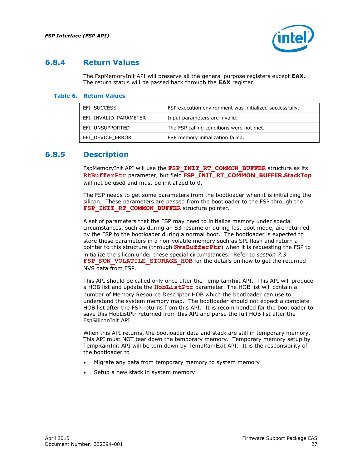

### **6.8.4 Return Values**

<span id="page-26-0"></span>The FspMemoryInit API will preserve all the general purpose registers except **EAX**. The return status will be passed back through the **EAX** register.

#### <span id="page-26-2"></span>**Table 6. Return Values**

| EFI SUCCESS           | FSP execution environment was initialized successfully. |
|-----------------------|---------------------------------------------------------|
| EFI INVALID PARAMETER | Input parameters are invalid.                           |
| EFI UNSUPPORTED       | The FSP calling conditions were not met.                |
| EFI DEVICE ERROR      | FSP memory initialization failed.                       |

#### **6.8.5 Description**

<span id="page-26-1"></span>FspMemoryInit API will use the FSP\_INIT\_RT\_COMMON\_BUFFER structure as its **RtBufferPtr** parameter, but field **FSP\_INIT\_RT\_COMMON\_BUFFER.StackTop** will not be used and must be initialized to 0.

The FSP needs to get some parameters from the bootloader when it is initializing the silicon. These parameters are passed from the bootloader to the FSP through the FSP\_INIT\_RT\_COMMON\_BUFFER structure pointer.

A set of parameters that the FSP may need to initialize memory under special circumstances, such as during an S3 resume or during fast boot mode, are returned by the FSP to the bootloader during a normal boot. The bootloader is expected to store these parameters in a non-volatile memory such as SPI flash and return a pointer to this structure (through **NvsBufferPtr**) when it is requesting the FSP to initialize the silicon under these special circumstances. Refer to *section [7.3](#page-31-1)* [FSP\\_NON\\_VOLATILE\\_STORAGE\\_HOB](#page-31-1) for the details on how to get the returned NVS data from FSP.

This API should be called only once after the TempRamInit API. This API will produce a HOB list and update the **HobListPtr** parameter. The HOB list will contain a number of Memory Resource Descriptor HOB which the bootloader can use to understand the system memory map. The bootloader should not expect a complete HOB list after the FSP returns from this API. It is recommended for the bootloader to save this HobListPtr returned from this API and parse the full HOB list after the FspSiliconInit API.

When this API returns, the bootloader data and stack are still in temporary memory. This API must NOT tear down the temporary memory. Temporary memory setup by TempRamInit API will be torn down by TempRamExit API. It is the responsibility of the bootloader to

- Migrate any data from temporary memory to system memory
- Setup a new stack in system memory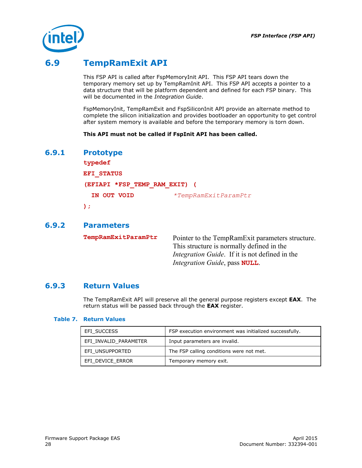

# **6.9 TempRamExit API**

<span id="page-27-0"></span>This FSP API is called after FspMemoryInit API. This FSP API tears down the temporary memory set up by TempRamInit API. This FSP API accepts a pointer to a data structure that will be platform dependent and defined for each FSP binary. This will be documented in the *Integration Guide*.

FspMemoryInit, TempRamExit and FspSiliconInit API provide an alternate method to complete the silicon initialization and provides bootloader an opportunity to get control after system memory is available and before the temporary memory is torn down.

<span id="page-27-1"></span>**This API must not be called if FspInit API has been called.**

#### **6.9.1 Prototype**

```
typedef 
EFI_STATUS
(EFIAPI *FSP_TEMP_RAM_EXIT) (
  IN OUT VOID *TempRamExitParamPtr
);
```
#### **6.9.2 Parameters**

<span id="page-27-2"></span>**TempRamExitParamPtr** Pointer to the TempRamExit parameters structure. This structure is normally defined in the *Integration Guide*. If it is not defined in the *Integration Guide*, pass **NULL**.

### **6.9.3 Return Values**

<span id="page-27-3"></span>The TempRamExit API will preserve all the general purpose registers except **EAX**. The return status will be passed back through the **EAX** register.

#### <span id="page-27-4"></span>**Table 7. Return Values**

| EFI SUCCESS           | FSP execution environment was initialized successfully. |
|-----------------------|---------------------------------------------------------|
| EFI INVALID PARAMETER | Input parameters are invalid.                           |
| EFI UNSUPPORTED       | The FSP calling conditions were not met.                |
| EFI DEVICE ERROR      | Temporary memory exit.                                  |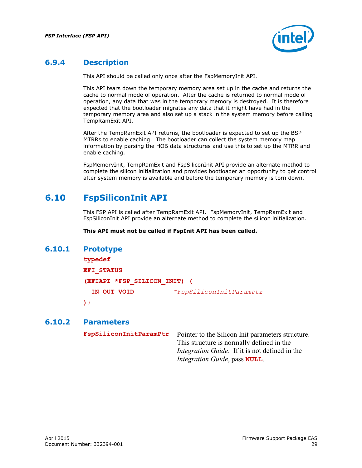

## **6.9.4 Description**

<span id="page-28-0"></span>This API should be called only once after the FspMemoryInit API.

This API tears down the temporary memory area set up in the cache and returns the cache to normal mode of operation. After the cache is returned to normal mode of operation, any data that was in the temporary memory is destroyed. It is therefore expected that the bootloader migrates any data that it might have had in the temporary memory area and also set up a stack in the system memory before calling TempRamExit API.

After the TempRamExit API returns, the bootloader is expected to set up the BSP MTRRs to enable caching. The bootloader can collect the system memory map information by parsing the HOB data structures and use this to set up the MTRR and enable caching.

<span id="page-28-1"></span>FspMemoryInit, TempRamExit and FspSiliconInit API provide an alternate method to complete the silicon initialization and provides bootloader an opportunity to get control after system memory is available and before the temporary memory is torn down.

# **6.10 FspSiliconInit API**

This FSP API is called after TempRamExit API. FspMemoryInit, TempRamExit and FspSiliconInit API provide an alternate method to complete the silicon initialization.

<span id="page-28-2"></span>**This API must not be called if FspInit API has been called.**

#### **6.10.1 Prototype**

| typedef                      |                         |
|------------------------------|-------------------------|
| <b>EFI STATUS</b>            |                         |
| (EFIAPI *FSP SILICON INIT) ( |                         |
| IN OUT VOID                  | *FspSiliconInitParamPtr |
| ) ;                          |                         |

#### **6.10.2 Parameters**

<span id="page-28-3"></span>

| FspSiliconInitParamPtr | Pointer to the Silicon Init parameters structure.     |
|------------------------|-------------------------------------------------------|
|                        | This structure is normally defined in the             |
|                        | <i>Integration Guide.</i> If it is not defined in the |
|                        | Integration Guide, pass NULL.                         |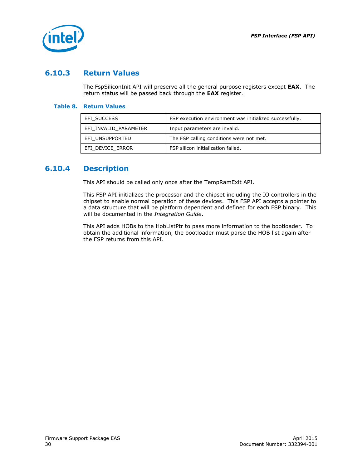

## **6.10.3 Return Values**

<span id="page-29-0"></span>The FspSiliconInit API will preserve all the general purpose registers except **EAX**. The return status will be passed back through the **EAX** register.

#### <span id="page-29-2"></span>**Table 8. Return Values**

| EFI SUCCESS           | FSP execution environment was initialized successfully. |
|-----------------------|---------------------------------------------------------|
| EFI INVALID PARAMETER | Input parameters are invalid.                           |
| EFI UNSUPPORTED       | The FSP calling conditions were not met.                |
| EFI DEVICE ERROR      | FSP silicon initialization failed.                      |

### **6.10.4 Description**

<span id="page-29-1"></span>This API should be called only once after the TempRamExit API.

This FSP API initializes the processor and the chipset including the IO controllers in the chipset to enable normal operation of these devices. This FSP API accepts a pointer to a data structure that will be platform dependent and defined for each FSP binary. This will be documented in the *Integration Guide*.

This API adds HOBs to the HobListPtr to pass more information to the bootloader. To obtain the additional information, the bootloader must parse the HOB list again after the FSP returns from this API.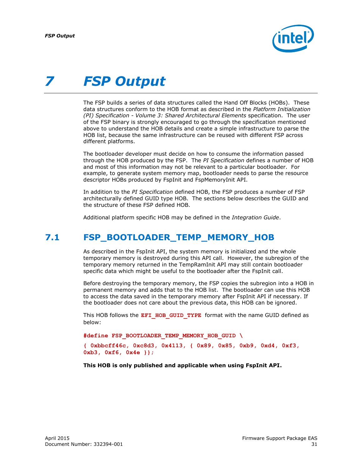

# <span id="page-30-0"></span>*7 FSP Output*

The FSP builds a series of data structures called the Hand Off Blocks (HOBs). These data structures conform to the HOB format as described in the *Platform Initialization (PI) Specification - Volume 3: Shared Architectural Elements* specification. The user of the FSP binary is strongly encouraged to go through the specification mentioned above to understand the HOB details and create a simple infrastructure to parse the HOB list, because the same infrastructure can be reused with different FSP across different platforms.

The bootloader developer must decide on how to consume the information passed through the HOB produced by the FSP. The *PI Specification* defines a number of HOB and most of this information may not be relevant to a particular bootloader. For example, to generate system memory map, bootloader needs to parse the resource descriptor HOBs produced by FspInit and FspMemoryInit API.

In addition to the *PI Specification* defined HOB, the FSP produces a number of FSP architecturally defined GUID type HOB. The sections below describes the GUID and the structure of these FSP defined HOB.

<span id="page-30-1"></span>Additional platform specific HOB may be defined in the *Integration Guide*.

## **7.1 FSP\_BOOTLOADER\_TEMP\_MEMORY\_HOB**

As described in the FspInit API, the system memory is initialized and the whole temporary memory is destroyed during this API call. However, the subregion of the temporary memory returned in the TempRamInit API may still contain bootloader specific data which might be useful to the bootloader after the FspInit call.

Before destroying the temporary memory, the FSP copies the subregion into a HOB in permanent memory and adds that to the HOB list. The bootloader can use this HOB to access the data saved in the temporary memory after FspInit API if necessary. If the bootloader does not care about the previous data, this HOB can be ignored.

This HOB follows the **EFI\_HOB\_GUID\_TYPE** format with the name GUID defined as below:

**#define FSP\_BOOTLOADER\_TEMP\_MEMORY\_HOB\_GUID \**

**{ 0xbbcff46c, 0xc8d3, 0x4113, { 0x89, 0x85, 0xb9, 0xd4, 0xf3, 0xb3, 0xf6, 0x4e }};**

**This HOB is only published and applicable when using FspInit API.**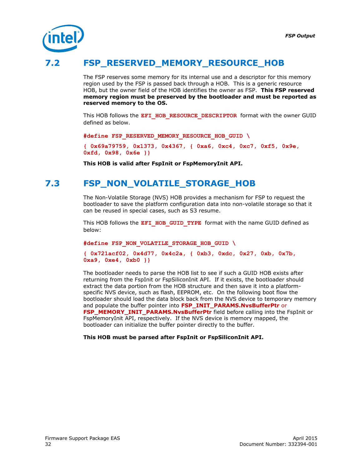

# **7.2 FSP\_RESERVED\_MEMORY\_RESOURCE\_HOB**

<span id="page-31-0"></span>The FSP reserves some memory for its internal use and a descriptor for this memory region used by the FSP is passed back through a HOB. This is a generic resource HOB, but the owner field of the HOB identifies the owner as FSP. **This FSP reserved memory region must be preserved by the bootloader and must be reported as reserved memory to the OS.**

This HOB follows the EFI\_HOB\_RESOURCE\_DESCRIPTOR\_format with the owner GUID defined as below.

**#define FSP\_RESERVED\_MEMORY\_RESOURCE\_HOB\_GUID \**

**{ 0x69a79759, 0x1373, 0x4367, { 0xa6, 0xc4, 0xc7, 0xf5, 0x9e, 0xfd, 0x98, 0x6e }}**

<span id="page-31-1"></span>**This HOB is valid after FspInit or FspMemoryInit API.**

## **7.3 FSP\_NON\_VOLATILE\_STORAGE\_HOB**

The Non-Volatile Storage (NVS) HOB provides a mechanism for FSP to request the bootloader to save the platform configuration data into non-volatile storage so that it can be reused in special cases, such as S3 resume.

This HOB follows the **EFI\_HOB\_GUID\_TYPE** format with the name GUID defined as below:

**#define FSP\_NON\_VOLATILE\_STORAGE\_HOB\_GUID \**

```
{ 0x721acf02, 0x4d77, 0x4c2a, { 0xb3, 0xdc, 0x27, 0xb, 0x7b, 
0xa9, 0xe4, 0xb0 }}
```
The bootloader needs to parse the HOB list to see if such a GUID HOB exists after returning from the FspInit or FspSiliconInit API. If it exists, the bootloader should extract the data portion from the HOB structure and then save it into a platformspecific NVS device, such as flash, EEPROM, etc. On the following boot flow the bootloader should load the data block back from the NVS device to temporary memory and populate the buffer pointer into **FSP\_INIT\_PARAMS.NvsBufferPtr** or **FSP\_MEMORY\_INIT\_PARAMS.NvsBufferPtr** field before calling into the FspInit or FspMemoryInit API, respectively. If the NVS device is memory mapped, the bootloader can initialize the buffer pointer directly to the buffer.

#### **This HOB must be parsed after FspInit or FspSiliconInit API.**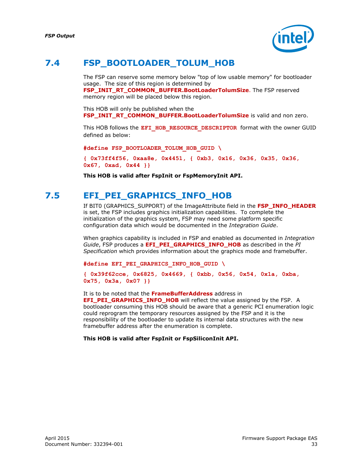

# **7.4 FSP\_BOOTLOADER\_TOLUM\_HOB**

<span id="page-32-0"></span>The FSP can reserve some memory below "top of low usable memory" for bootloader usage. The size of this region is determined by **FSP\_INIT\_RT\_COMMON\_BUFFER.BootLoaderTolumSize**. The FSP reserved memory region will be placed below this region.

This HOB will only be published when the **FSP\_INIT\_RT\_COMMON\_BUFFER.BootLoaderTolumSize** is valid and non zero.

This HOB follows the **EFI\_HOB\_RESOURCE\_DESCRIPTOR** format with the owner GUID defined as below:

**#define FSP\_BOOTLOADER\_TOLUM\_HOB\_GUID \**

**{ 0x73ff4f56, 0xaa8e, 0x4451, { 0xb3, 0x16, 0x36, 0x35, 0x36, 0x67, 0xad, 0x44 }}**

<span id="page-32-1"></span>**This HOB is valid after FspInit or FspMemoryInit API.**

# **7.5 EFI\_PEI\_GRAPHICS\_INFO\_HOB**

If BIT0 (GRAPHICS\_SUPPORT) of the ImageAttribute field in the **FSP\_INFO\_HEADER** is set, the FSP includes graphics initialization capabilities. To complete the initialization of the graphics system, FSP may need some platform specific configuration data which would be documented in the *Integration Guide*.

When graphics capability is included in FSP and enabled as documented in *Integration Guide*, FSP produces a **EFI\_PEI\_GRAPHICS\_INFO\_HOB** as described in the *PI Specification* which provides information about the graphics mode and framebuffer.

**#define EFI\_PEI\_GRAPHICS\_INFO\_HOB\_GUID \**

**{ 0x39f62cce, 0x6825, 0x4669, { 0xbb, 0x56, 0x54, 0x1a, 0xba, 0x75, 0x3a, 0x07 }}**

It is to be noted that the **FrameBufferAddress** address in **EFI\_PEI\_GRAPHICS\_INFO\_HOB** will reflect the value assigned by the FSP. A bootloader consuming this HOB should be aware that a generic PCI enumeration logic could reprogram the temporary resources assigned by the FSP and it is the responsibility of the bootloader to update its internal data structures with the new framebuffer address after the enumeration is complete.

**This HOB is valid after FspInit or FspSiliconInit API.**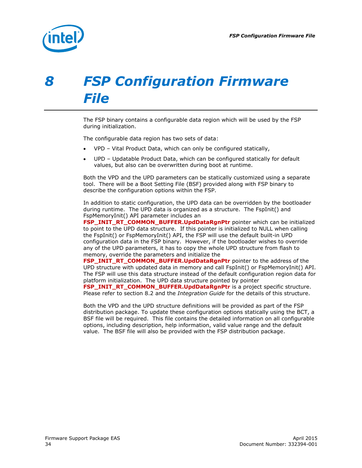

# <span id="page-33-0"></span>*8 FSP Configuration Firmware File*

The FSP binary contains a configurable data region which will be used by the FSP during initialization.

The configurable data region has two sets of data:

- VPD Vital Product Data, which can only be configured statically,
- UPD Updatable Product Data, which can be configured statically for default values, but also can be overwritten during boot at runtime.

Both the VPD and the UPD parameters can be statically customized using a separate tool. There will be a Boot Setting File (BSF) provided along with FSP binary to describe the configuration options within the FSP.

In addition to static configuration, the UPD data can be overridden by the bootloader during runtime. The UPD data is organized as a structure. The FspInit() and FspMemoryInit() API parameter includes an

**FSP\_INIT\_RT\_COMMON\_BUFFER.UpdDataRgnPtr** pointer which can be initialized to point to the UPD data structure. If this pointer is initialized to NULL when calling the FspInit() or FspMemoryInit() API, the FSP will use the default built-in UPD configuration data in the FSP binary. However, if the bootloader wishes to override any of the UPD parameters, it has to copy the whole UPD structure from flash to memory, override the parameters and initialize the

**FSP\_INIT\_RT\_COMMON\_BUFFER.UpdDataRgnPtr** pointer to the address of the UPD structure with updated data in memory and call FspInit() or FspMemoryInit() API. The FSP will use this data structure instead of the default configuration region data for platform initialization. The UPD data structure pointed by pointer

**FSP\_INIT\_RT\_COMMON\_BUFFER.UpdDataRgnPtr** is a project specific structure. Please refer to section [8.2](#page-34-1) and the *Integration Guide* for the details of this structure.

Both the VPD and the UPD structure definitions will be provided as part of the FSP distribution package. To update these configuration options statically using the BCT, a BSF file will be required. This file contains the detailed information on all configurable options, including description, help information, valid value range and the default value. The BSF file will also be provided with the FSP distribution package.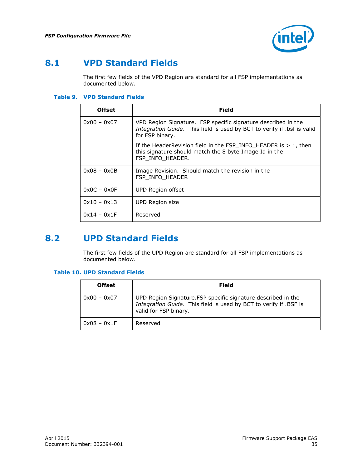

# **8.1 VPD Standard Fields**

<span id="page-34-0"></span>The first few fields of the VPD Region are standard for all FSP implementations as documented below.

#### <span id="page-34-2"></span>**Table 9. VPD Standard Fields**

| <b>Offset</b> | Field                                                                                                                                                       |
|---------------|-------------------------------------------------------------------------------------------------------------------------------------------------------------|
| $0x00 - 0x07$ | VPD Region Signature. FSP specific signature described in the<br>Integration Guide. This field is used by BCT to verify if .bsf is valid<br>for FSP binary. |
|               | If the Header Revision field in the $FSP_$ INFO_HEADER is $> 1$ , then<br>this signature should match the 8 byte Image Id in the<br>FSP INFO_HEADER.        |
| $0x08 - 0x0B$ | Image Revision. Should match the revision in the<br>FSP INFO HEADER                                                                                         |
| $0x0C - 0x0F$ | UPD Region offset                                                                                                                                           |
| $0x10 - 0x13$ | UPD Region size                                                                                                                                             |
| $0x14 - 0x1F$ | Reserved                                                                                                                                                    |

# **8.2 UPD Standard Fields**

<span id="page-34-1"></span>The first few fields of the UPD Region are standard for all FSP implementations as documented below.

#### <span id="page-34-3"></span>**Table 10. UPD Standard Fields**

| <b>Offset</b> | Field                                                                                                                                                       |
|---------------|-------------------------------------------------------------------------------------------------------------------------------------------------------------|
| $0x00 - 0x07$ | UPD Region Signature. FSP specific signature described in the<br>Integration Guide. This field is used by BCT to verify if .BSF is<br>valid for FSP binary. |
| $0x08 - 0x1F$ | Reserved                                                                                                                                                    |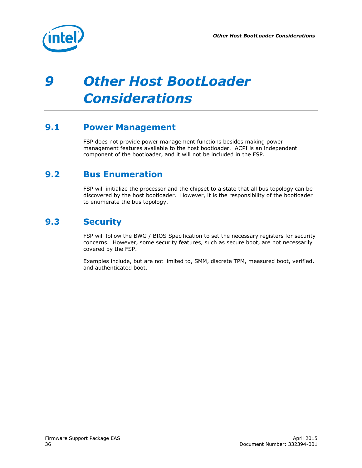

# <span id="page-35-0"></span>*9 Other Host BootLoader Considerations*

# **9.1 Power Management**

<span id="page-35-2"></span><span id="page-35-1"></span>FSP does not provide power management functions besides making power management features available to the host bootloader. ACPI is an independent component of the bootloader, and it will not be included in the FSP.

# **9.2 Bus Enumeration**

<span id="page-35-3"></span>FSP will initialize the processor and the chipset to a state that all bus topology can be discovered by the host bootloader. However, it is the responsibility of the bootloader to enumerate the bus topology.

# **9.3 Security**

FSP will follow the BWG / BIOS Specification to set the necessary registers for security concerns. However, some security features, such as secure boot, are not necessarily covered by the FSP.

Examples include, but are not limited to, SMM, discrete TPM, measured boot, verified, and authenticated boot.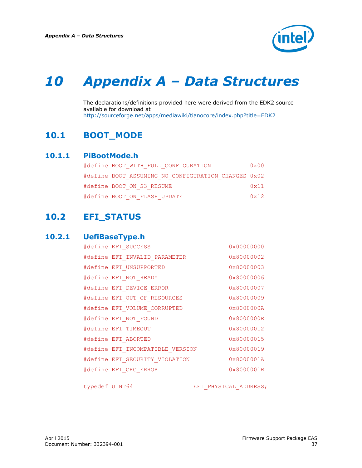

# <span id="page-36-0"></span>*10 Appendix A – Data Structures*

<span id="page-36-1"></span>The declarations/definitions provided here were derived from the EDK2 source available for download at <http://sourceforge.net/apps/mediawiki/tianocore/index.php?title=EDK2>

# **10.1 BOOT\_MODE**

#### **10.1.1 PiBootMode.h**

<span id="page-36-2"></span>

| #define BOOT WITH FULL CONFIGURATION                | $0 \times 00$ |
|-----------------------------------------------------|---------------|
| #define BOOT ASSUMING NO CONFIGURATION CHANGES 0x02 |               |
| #define BOOT ON S3 RESUME                           | $0 \times 11$ |
| #define BOOT ON FLASH UPDATE                        | 0x12          |

# <span id="page-36-3"></span>**10.2 EFI\_STATUS**

### **10.2.1 UefiBaseType.h**

<span id="page-36-4"></span>

| #define EFI SUCCESS              | $0 \times 00000000$ |
|----------------------------------|---------------------|
| #define EFI INVALID PARAMETER    | 0x80000002          |
| #define EFI UNSUPPORTED          | 0x80000003          |
| #define EFI NOT READY            | 0x80000006          |
| #define EFI DEVICE ERROR         | 0x80000007          |
| #define EFI OUT OF RESOURCES     | 0x80000009          |
| #define EFI VOLUME CORRUPTED     | 0x8000000A          |
| #define EFI NOT FOUND            | 0x8000000E          |
| #define EFI TIMEOUT              | 0x80000012          |
| #define EFI ABORTED              | 0x80000015          |
| #define EFI INCOMPATIBLE VERSION | 0x80000019          |
| #define EFI SECURITY VIOLATION   | 0x8000001A          |
| #define EFI CRC ERROR            | 0x8000001B          |
|                                  |                     |

typedef UINT64 EFI\_PHYSICAL\_ADDRESS;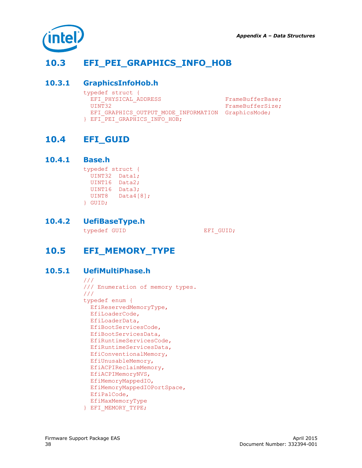

# **10.3 EFI\_PEI\_GRAPHICS\_INFO\_HOB**

### **10.3.1 GraphicsInfoHob.h**

<span id="page-37-2"></span><span id="page-37-1"></span><span id="page-37-0"></span>

| typedef struct {                                   |                  |
|----------------------------------------------------|------------------|
| EFI PHYSICAL ADDRESS                               | FrameBufferBase; |
| UINT32                                             | FrameBufferSize; |
| EFI GRAPHICS OUTPUT MODE INFORMATION GraphicsMode; |                  |
| FEFI PEI GRAPHICS INFO HOB:                        |                  |

## **10.4 EFI\_GUID**

#### **10.4.1 Base.h**

<span id="page-37-3"></span>typedef struct { UINT32 Data1; UINT16 Data2; UINT16 Data3; UINT8 Data4[8]; } GUID;

## **10.4.2 UefiBaseType.h**

<span id="page-37-5"></span><span id="page-37-4"></span>typedef GUID EFI\_GUID;

# **10.5 EFI\_MEMORY\_TYPE**

### **10.5.1 UefiMultiPhase.h**

```
///
/// Enumeration of memory types.
///
typedef enum {
  EfiReservedMemoryType,
  EfiLoaderCode,
  EfiLoaderData,
  EfiBootServicesCode,
   EfiBootServicesData,
  EfiRuntimeServicesCode,
  EfiRuntimeServicesData,
  EfiConventionalMemory,
  EfiUnusableMemory,
  EfiACPIReclaimMemory,
   EfiACPIMemoryNVS,
  EfiMemoryMappedIO,
  EfiMemoryMappedIOPortSpace,
  EfiPalCode,
  EfiMaxMemoryType
} EFI_MEMORY_TYPE;
```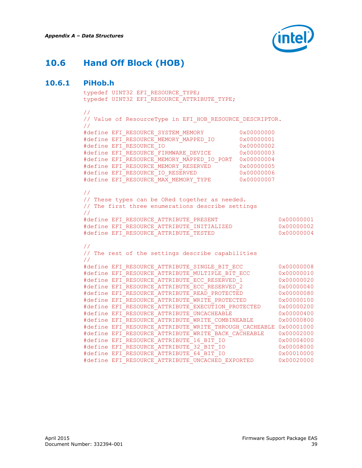

# **10.6 Hand Off Block (HOB)**

### **10.6.1 PiHob.h**

```
typedef UINT32 EFI_RESOURCE_TYPE;
typedef UINT32 EFI_RESOURCE_ATTRIBUTE_TYPE;
//
// Value of ResourceType in EFI HOB RESOURCE DESCRIPTOR.
//
#define EFI_RESOURCE_SYSTEM_MEMORY 0x00000000
#define EFI_RESOURCE_MEMORY_MAPPED_IO 0x00000001
#define EFI_RESOURCE_IO 0x00000002
#define EFI_RESOURCE_FIRMWARE_DEVICE 0x00000003
#define EFI_RESOURCE_MEMORY_MAPPED_IO_PORT 0x00000004
#define EFI_RESOURCE_MEMORY_RESERVED 0x000000005<br>#define PBI_RESOURCE_MEMORY_RESERVED 0x00000000666
#define EFI_RESOURCE_IO_RESERVED 0x000000006
#define EFI<sup>_</sup>RESOURCE_MAX_MEMORY_TYPE 0x00000007
//
// These types can be ORed together as needed.
// The first three enumerations describe settings
//
#define EFI_RESOURCE_ATTRIBUTE_PRESENT 0x00000001
#define EFI_RESOURCE_ATTRIBUTE_PRESENT<br>#define EFI_RESOURCE_ATTRIBUTE_INITIALIZED<br>"define EFI_RESOURCE_ATTRIBUTE_INITIALIZED
#define EFI_RESOURCE_ATTRIBUTE_TESTED 0x00000004
//
// The rest of the settings describe capabilities
//
#define EFI_RESOURCE_ATTRIBUTE_SINGLE_BIT_ECC 0x00000008
#define EFI_RESOURCE_ATTRIBUTE_MULTIPLE_BIT_ECC 0x00000010<br>#define EFI_RESOURCE_ATTRIBUTE_ECC_RESERVED_1 0x000000020
#define EFI_RESOURCE_ATTRIBUTE_ECC_RESERVED_1 0x00000020
#define EFI_RESOURCE_ATTRIBUTE_ECC_RESERVED_2 0x00000040
#define EFI_RESOURCE_ATTRIBUTE_READ_PROTECTED 0x00000080
#define EFI_RESOURCE_ATTRIBUTE_WRITE_PROTECTED 0x00000100
#define EFI_RESOURCE_ATTRIBUTE_EXECUTION_PROTECTED 0x00000200
#define EFI_RESOURCE_ATTRIBUTE_UNCACHEABLE 0x00000400
#define EFI_RESOURCE_ATTRIBUTE_WRITE_COMBINEABLE 0x00000800
#define EFI_RESOURCE_ATTRIBUTE_WRITE_THROUGH_CACHEABLE 0x00001000
#define EFI_RESOURCE_ATTRIBUTE_WRITE_BACK_CACHEABLE 0x00002000
#define EFI_RESOURCE_ATTRIBUTE_16_BIT_IO 0x00004000
#define EFI_RESOURCE_ATTRIBUTE_32_BIT_IO 0x00008000
#define EFI_RESOURCE_ATTRIBUTE_64_BIT_IO 0x00010000
#define EFI_RESOURCE_ATTRIBUTE_UNCACHED_EXPORTED 0x00020000
```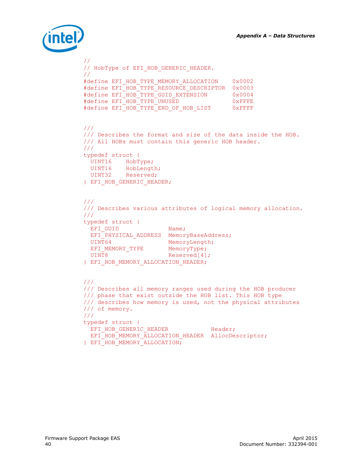

```
//
// HobType of EFI_HOB_GENERIC_HEADER.
//
#define EFI_HOB_TYPE_MEMORY_ALLOCATION 0x0002
#define EFI_HOB_TYPE_RESOURCE_DESCRIPTOR 0x0003
#define EFI_HOB_TYPE_GUID_EXTENSION 0x0004
#define EFI_HOB_TYPE_UNUSED 0xFFFE
#define EFI_HOB_TYPE_END_OF_HOB_LIST 0xFFFF
///
/// Describes the format and size of the data inside the HOB.
/// All HOBs must contain this generic HOB header.
///
typedef struct {
 UINT16 HobType;
 UINT16 HobLength;
 UINT32 Reserved;
} EFI_HOB_GENERIC_HEADER;
///
/// Describes various attributes of logical memory allocation.
///
typedef struct {
EFIGUID Name;
 EFI PHYSICAL ADDRESS MemoryBaseAddress;
 UINT64 MemoryLength;
EFI_MEMORY_TYPE MemoryType;
UINT8 Reserved[4];
} EFI_HOB_MEMORY_ALLOCATION_HEADER;
///
/// Describes all memory ranges used during the HOB producer 
/// phase that exist outside the HOB list. This HOB type 
/// describes how memory is used, not the physical attributes
/// of memory.
///
typedef struct {
EFI_HOB_GENERIC_HEADER Header;
EFI_HOB_MEMORY_ALLOCATION_HEADER AllocDescriptor;
} EFI_HOB_MEMORY_ALLOCATION;
```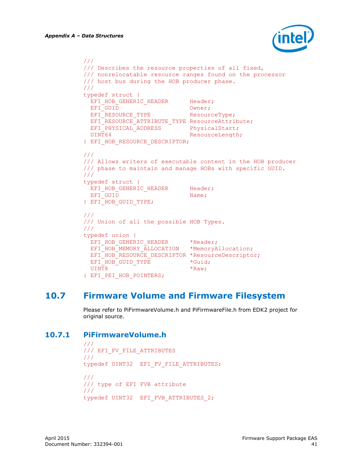

```
///
/// Describes the resource properties of all fixed, 
/// nonrelocatable resource ranges found on the processor
/// host bus during the HOB producer phase.
///
typedef struct {
 EFI_HOB_GENERIC_HEADER Header;
EFI_GUID Owner;
EFI_RESOURCE_TYPE ResourceType;
 EFI_RESOURCE_ATTRIBUTE TYPE ResourceAttribute;
 EFI_PHYSICAL_ADDRESS PhysicalStart;
 UINT64 ResourceLength;
} EFI_HOB_RESOURCE_DESCRIPTOR;
///
/// Allows writers of executable content in the HOB producer
/// phase to maintain and manage HOBs with specific GUID.
///
typedef struct {
EFI_HOB_GENERIC_HEADER Header;
 EFI_GUID Name;
} EFI_HOB_GUID_TYPE;
///
/// Union of all the possible HOB Types.
///
typedef union {
 EFI_HOB_GENERIC_HEADER *Header;
 EFI_HOB_MEMORY_ALLOCATION *MemoryAllocation;
 EFI_HOB_RESOURCE_DESCRIPTOR *ResourceDescriptor;
 EFI_HOB_GUID_TYPE *Guid;
 UINT8 *Raw:
} EFI_PEI_HOB_POINTERS;
```
## **10.7 Firmware Volume and Firmware Filesystem**

<span id="page-40-1"></span><span id="page-40-0"></span>Please refer to PiFirmwareVolume.h and PiFirmwareFile.h from EDK2 project for original source.

### **10.7.1 PiFirmwareVolume.h**

```
///
/// EFI_FV_FILE_ATTRIBUTES
///
typedef UINT32 EFI FV FILE ATTRIBUTES;
///
/// type of EFI FVB attribute
/// 
typedef UINT32 EFI_FVB_ATTRIBUTES_2;
```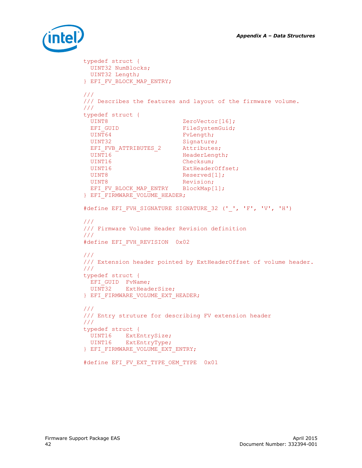

```
typedef struct {
  UINT32 NumBlocks;
 UINT32 Length;
} EFI_FV_BLOCK_MAP_ENTRY;
///
/// Describes the features and layout of the firmware volume.
///
typedef struct {
 UINT8 ZeroVector[16];
 EFI_GUID FileSystemGuid;
 UINT64 FvLength;
 UINT32 Signature;
 EFI_FVB_ATTRIBUTES_2 Attributes;
 UINT16 HeaderLength;
 UINT16 Checksum;
 UINT16 ExtHeaderOffset;
 UINT8 Reserved[1];
 UINT8 Revision;
 EFI_FV_BLOCK_MAP_ENTRY BlockMap[1];
} EFI_FIRMWARE_VOLUME_HEADER;
#define EFI_FVH_SIGNATURE SIGNATURE_32 ('_', 'F', 'V', 'H')
///
/// Firmware Volume Header Revision definition
///
#define EFI_FVH_REVISION 0x02
///
/// Extension header pointed by ExtHeaderOffset of volume header.
/// 
typedef struct {
EFI GUID FvName;
  UINT32 ExtHeaderSize;
} EFI_FIRMWARE_VOLUME_EXT_HEADER;
///
/// Entry struture for describing FV extension header
/// 
typedef struct {
  UINT16 ExtEntrySize;
 UINT16 ExtEntryType;
} EFI_FIRMWARE_VOLUME_EXT_ENTRY;
#define EFI FV EXT TYPE OEM TYPE 0x01
```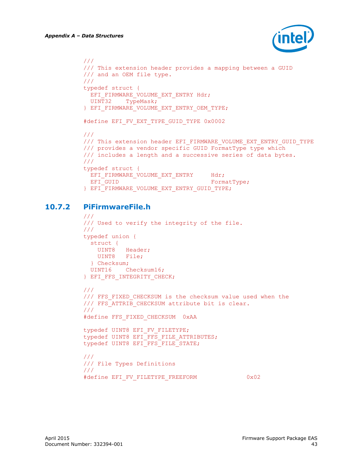

```
///
/// This extension header provides a mapping between a GUID
/// and an OEM file type.
/// 
typedef struct {
 EFI_FIRMWARE_VOLUME_EXT_ENTRY Hdr;
  UINT32 TypeMask;
} EFI_FIRMWARE_VOLUME_EXT_ENTRY_OEM_TYPE;
#define EFI_FV_EXT_TYPE_GUID_TYPE 0x0002
///
/// This extension header EFI FIRMWARE VOLUME EXT ENTRY GUID TYPE
/// provides a vendor specific GUID FormatType type which 
/// includes a length and a successive series of data bytes.
///
typedef struct {
 EFI_FIRMWARE_VOLUME_EXT_ENTRY Hdr;
 EFI_GUID FormatType;
} EFI_FIRMWARE_VOLUME_EXT_ENTRY_GUID_TYPE;
```
## **10.7.2 PiFirmwareFile.h**

```
///
/// Used to verify the integrity of the file.
/// 
typedef union {
  struct {
    UINT8 Header;
    UINT8 File;
  } Checksum;
  UINT16 Checksum16;
} EFI_FFS_INTEGRITY_CHECK;
///
/// FFS FIXED CHECKSUM is the checksum value used when the
/// FFS_ATTRIB_CHECKSUM attribute bit is clear.
///
#define FFS_FIXED_CHECKSUM 0xAA
typedef UINT8 EFI FV FILETYPE;
typedef UINT8 EFI<sup>T</sup>FFS FILE ATTRIBUTES;
typedef UINT8 EFI FFS FILE STATE;
///
/// File Types Definitions
///
```

```
#define EFI_FV_FILETYPE_FREEFORM 0x02
```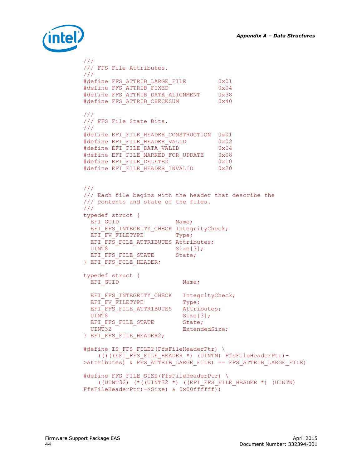

```
/// 
/// FFS File Attributes.
/// 
#define FFS_ATTRIB_LARGE_FILE 0x01
#define FFS ATTRIB FIXED 0x04
#define FFS_ATTRIB_DATA_ALIGNMENT 0x38
#define FFS_ATTRIB_CHECKSUM 0x40
/// 
/// FFS File State Bits.
/// 
#define EFI_FILE_HEADER_CONSTRUCTION 0x01
#define EFI_FILE_HEADER_VALID 0x02
#define EFI_FILE_DATA_VALID 0x04
#define EFI_FILE_MARKED_FOR_UPDATE 0x08
#define EFI_FILE_DELETED 0x10
#define EFI_FILE_HEADER_INVALID 0x20
///
/// Each file begins with the header that describe the 
/// contents and state of the files.
/// 
typedef struct {
 EFI_GUID Name;
  EFI_FFS_INTEGRITY_CHECK IntegrityCheck;
 EFT FV FILETYPE T Type;
 EFI_FFS_FILE_ATTRIBUTES Attributes;
 UINT8 Size[3];
 EFI_FFS_FILE_STATE State;
} EFI_FFS_FILE_HEADER;
typedef struct {
 EFI_GUID Name;
EFI_FFS_INTEGRITY_CHECK IntegrityCheck;
EFI_FV_FILETYPE Type;
 EFI<sup>FFS</sup> FILE ATTRIBUTES Attributes;
 UINT8 Size[3];EFI_FFS_FILE_STATE State;
 UINT32 ExtendedSize;
} EFI_FFS_FILE_HEADER2;
#define IS FFS FILE2(FfsFileHeaderPtr) \
    (((((EFI_FFS_FILE_HEADER *) (UINTN) FfsFileHeaderPtr)-
>Attributes) & FFS ATTRIB LARGE FILE) == FFS ATTRIB LARGE FILE)
#define FFS FILE SIZE(FfsFileHeaderPtr) \
    ((UINT32) (*((UINT32 *) ((EFI_FFS_FILE_HEADER *) (UINTN) 
FfsFileHeaderPtr)->Size) & 0x00ffffff))
```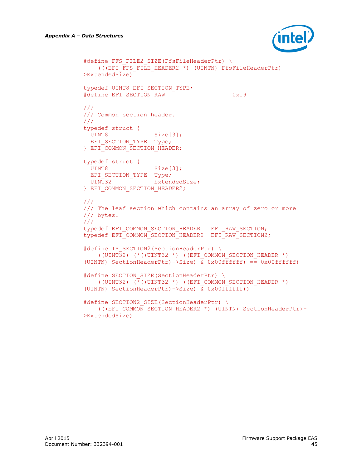

```
#define FFS_FILE2_SIZE(FfsFileHeaderPtr) \
   (((EFI_FFS_FILE_HEADER2 *) (UINTN) FfsFileHeaderPtr)-
>ExtendedSize)
typedef UINT8 EFI SECTION TYPE;
#define EFI SECTION RAW 0x19
///
/// Common section header.
/// 
typedef struct {
 UINT8 Size[3];
 EFI_SECTION_TYPE Type;
} EFI COMMON SECTION HEADER;
typedef struct {
 UINT8 Size[3];
 EFI_SECTION_TYPE Type;
 UINT32 ExtendedSize;
} EFI_COMMON_SECTION_HEADER2;
///
/// The leaf section which contains an array of zero or more 
/// bytes.
/// 
typedef EFI_COMMON_SECTION_HEADER EFI_RAW_SECTION;
typedef EFI_COMMON_SECTION_HEADER2 EFI_RAW_SECTION2;
#define IS SECTION2(SectionHeaderPtr) \
    ((UINT32) (*((UINT32 *) ((EFI_COMMON_SECTION_HEADER *) 
(UINTN) SectionHeaderPtr)->Size) \overline{x} 0x00ffffff) == 0x00ffffff)
#define SECTION SIZE(SectionHeaderPtr) \
   ((UINT32) (*((UINT32 *) ((EFI COMMON SECTION HEADER *)
(UINTN) SectionHeaderPtr)->Size) & 0x00ffffff))
#define SECTION2_SIZE(SectionHeaderPtr) \
     (((EFI_COMMON_SECTION_HEADER2 *) (UINTN) SectionHeaderPtr)-
>ExtendedSize)
```